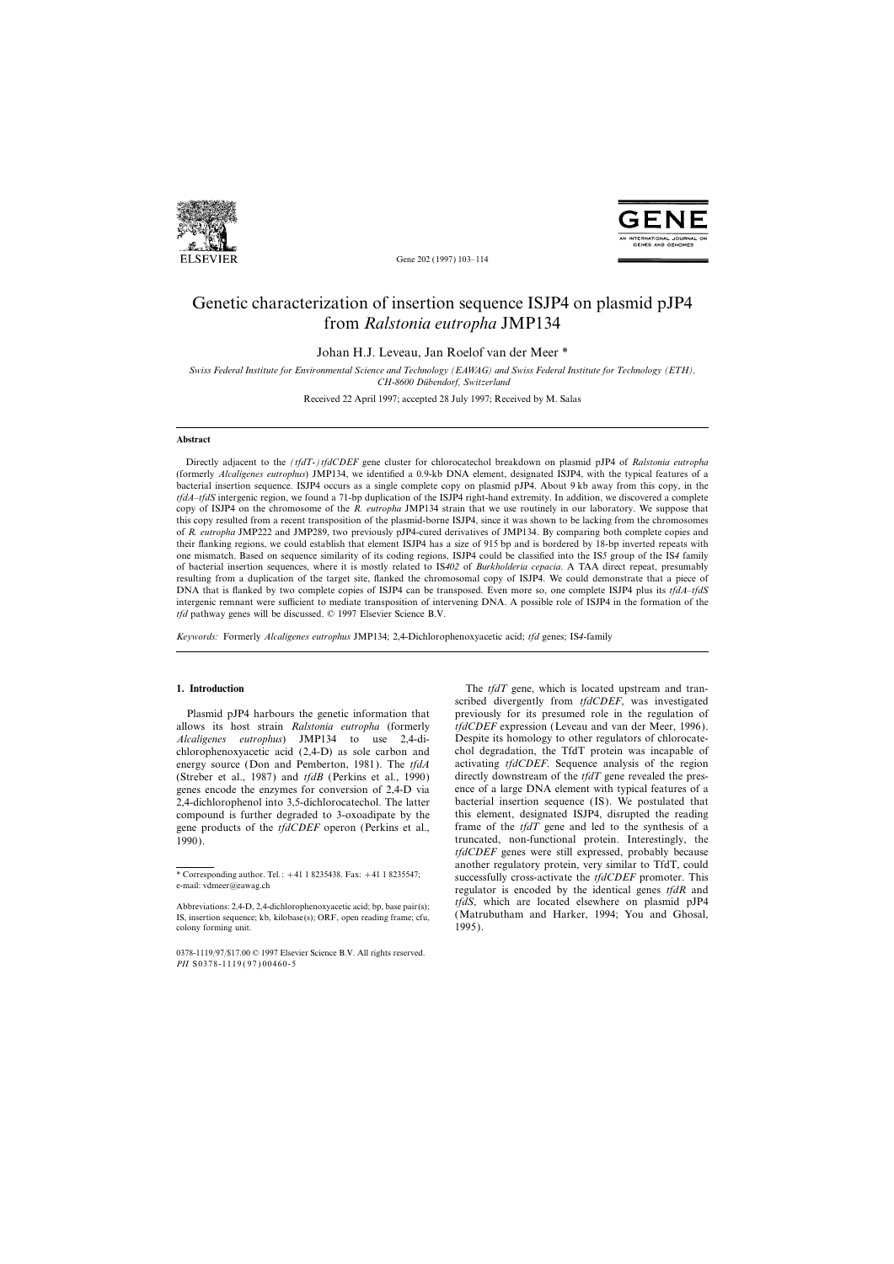



Gene 202 (1997) 103–114

# Genetic characterization of insertion sequence ISJP4 on plasmid pJP4 from *Ralstonia eutropha* JMP134

Johan H.J. Leveau, Jan Roelof van der Meer \*

*Swiss Federal Institute for Environmental Science and Technology (EAWAG) and Swiss Federal Institute for Technology (ETH), CH-8600 Du¨bendorf, Switzerland*

Received 22 April 1997; accepted 28 July 1997; Received by M. Salas

## **Abstract**

Directly adjacent to the *(tfdT-)tfdCDEF* gene cluster for chlorocatechol breakdown on plasmid pJP4 of *Ralstonia eutropha* (formerly *Alcaligenes eutrophus*) JMP134, we identified a 0.9-kb DNA element, designated ISJP4, with the typical features of a bacterial insertion sequence. ISJP4 occurs as a single complete copy on plasmid pJP4. About 9 kb away from this copy, in the *tfdA*–*tfdS* intergenic region, we found a 71-bp duplication of the ISJP4 right-hand extremity. In addition, we discovered a complete copy of ISJP4 on the chromosome of the *R. eutropha* JMP134 strain that we use routinely in our laboratory. We suppose that this copy resulted from a recent transposition of the plasmid-borne ISJP4, since it was shown to be lacking from the chromosomes of *R. eutropha* JMP222 and JMP289, two previously pJP4-cured derivatives of JMP134. By comparing both complete copies and their flanking regions, we could establish that element ISJP4 has a size of 915 bp and is bordered by 18-bp inverted repeats with one mismatch. Based on sequence similarity of its coding regions, ISJP4 could be classified into the IS*5* group of the IS*4* family of bacterial insertion sequences, where it is mostly related to IS*402* of *Burkholderia cepacia*. A TAA direct repeat, presumably resulting from a duplication of the target site, flanked the chromosomal copy of ISJP4. We could demonstrate that a piece of DNA that is flanked by two complete copies of ISJP4 can be transposed. Even more so, one complete ISJP4 plus its *tfdA*–*tfdS* intergenic remnant were sufficient to mediate transposition of intervening DNA. A possible role of ISJP4 in the formation of the *tfd* pathway genes will be discussed. © 1997 Elsevier Science B.V.

*Keywords:* Formerly *Alcaligenes eutrophus* JMP134; 2,4-Dichlorophenoxyacetic acid; *tfd* genes; IS*4*-family

allows its host strain *Ralstonia eutropha* (formerly *tfdCDEF* expression (Leveau and van der Meer, 1996). *Alcaligenes eutrophus*) JMP134 to use 2,4-di- Despite its homology to other regulators of chlorocatechlorophenoxyacetic acid (2,4-D) as sole carbon and chol degradation, the TfdT protein was incapable of energy source (Don and Pemberton, 1981). The *tfdA* activating *tfdCDEF*. Sequence analysis of the region (Streber et al., 1987) and *tfdB* (Perkins et al., 1990) directly downstream of the *tfdT* gene revealed the presgenes encode the enzymes for conversion of 2,4-D via ence of a large DNA element with typical features of a 2,4-dichlorophenol into 3,5-dichlorocatechol. The latter bacterial insertion sequence (IS). We postulated that 2,4-dichlorophenol into 3,5-dichlorocatechol. The latter bacterial insertion sequence (IS). We postulated that compound is further degraded to 3-oxoadipate by the this element, designated ISJP4, disrupted the reading compound is further degraded to 3-oxoadipate by the this element, designated ISJP4, disrupted the reading gene products of the *tfdCDEF* operon (Perkins et al., frame of the *tfdT* gene and led to the synthesis of a gene products of the *tfdCDEF* operon (Perkins et al., 1990). truncated, non-functional protein. Interestingly, the

**1. Introduction** The *tfdT* gene, which is located upstream and transcribed divergently from *tfdCDEF*, was investigated Plasmid pJP4 harbours the genetic information that previously for its presumed role in the regulation of *tfdCDEF* genes were still expressed, probably because another regulatory protein, very similar to TfdT, could \* Corresponding author. Tel.: <sup>+</sup>41 1 8235438. Fax: <sup>+</sup>41 1 8235547; successfully cross-activate the *tfdCDEF* promoter. This e-mail: vdmeer@eawag.ch regulator is encoded by the identical genes *tfdR* and *tfdS*, which are located elsewhere on plasmid pJP4<br> *tglS*, which are located elsewhere on plasmid pJP4<br> *tglS*, insertion sequence: kb, kilobase(s): ORF, open reading frame: cfu. (Matrubutham and Harker, 1994; You and Gh

IS, insertion sequence; kb, kilobase(s); ORF, open reading frame; cfu,  $(Matri colony forming unit.$  1995). colony forming unit.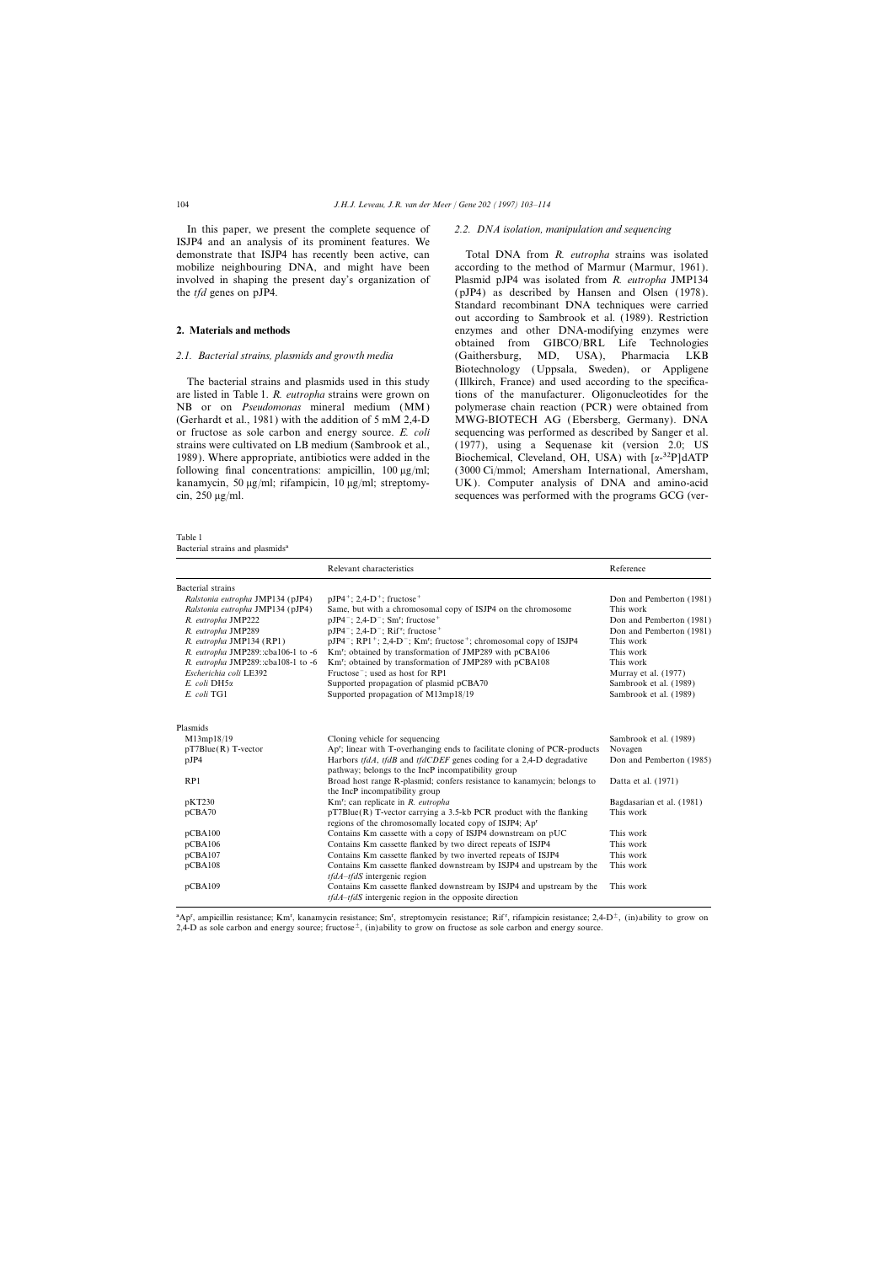In this paper, we present the complete sequence of *2.2. DNA isolation, manipulation and sequencing* ISJP4 and an analysis of its prominent features. We

are listed in Table 1. *R. eutropha* strains were grown on tions of the manufacturer. Oligonucleotides for the NB or on *Pseudomonas* mineral medium (MM) polymerase chain reaction (PCR) were obtained from (Gerhardt et al., 1981) with the addition of 5 mM 2,4-D MWG-BIOTECH AG (Ebersberg, Germany). DNA or fructose as sole carbon and energy source. *E. coli* sequencing was performed as described by Sanger et al. strains were cultivated on LB medium (Sambrook et al., (1977), using a Sequenase kit (version 2.0; US 1989). Where appropriate, antibiotics were added in the Biochemical, Cleveland, OH, USA) with  $\lceil \alpha^{-32}P \rceil dATP$ following final concentrations: ampicillin,  $100 \mu g/ml$ ; (3000 Ci/mmol; Amersham International, Amersham, kanamycin, 50  $\mu$ g/ml; rifampicin, 10  $\mu$ g/ml; streptomy- UK). Computer analysis of DNA and amino-acid cin, 250 µg/ml. sequences was performed with the programs GCG (ver-

Table 1 Bacterial strains and plasmids<sup>a</sup>

demonstrate that ISJP4 has recently been active, can Total DNA from *R. eutropha* strains was isolated mobilize neighbouring DNA, and might have been according to the method of Marmur (Marmur, 1961). involved in shaping the present day's organization of Plasmid pJP4 was isolated from *R. eutropha* JMP134 the *tfd* genes on pJP4. (pJP4) as described by Hansen and Olsen (1978). Standard recombinant DNA techniques were carried out according to Sambrook et al. (1989). Restriction **2. Materials and methods** enzymes and other DNA-modifying enzymes were obtained from GIBCO/BRL Life Technologies *2.1. Bacterial strains, plasmids and growth media* (Gaithersburg, MD, USA), Pharmacia LKB Biotechnology (Uppsala, Sweden), or Appligene The bacterial strains and plasmids used in this study (Illkirch, France) and used according to the specifica-

|                                    | Relevant characteristics                                                                                                                        | Reference                 |  |
|------------------------------------|-------------------------------------------------------------------------------------------------------------------------------------------------|---------------------------|--|
| Bacterial strains                  |                                                                                                                                                 |                           |  |
| Ralstonia eutropha JMP134 (pJP4)   | $pJP4^+$ ; 2,4-D <sup>+</sup> ; fructose <sup>+</sup>                                                                                           | Don and Pemberton (1981)  |  |
| Ralstonia eutropha JMP134 (pJP4)   | Same, but with a chromosomal copy of ISJP4 on the chromosome                                                                                    | This work                 |  |
| R. eutropha JMP222                 | $pJP4^-$ ; 2,4-D <sup>-</sup> ; Sm <sup>r</sup> ; fructose <sup>+</sup>                                                                         | Don and Pemberton (1981)  |  |
| R. eutropha JMP289                 | $pJP4^-$ ; 2,4-D <sup>-</sup> ; Rif <sup>r</sup> ; fructose <sup>+</sup>                                                                        | Don and Pemberton (1981)  |  |
| R. eutropha JMP134 (RP1)           | pJP4 <sup>-</sup> ; RP1 <sup>+</sup> ; 2,4-D <sup>-</sup> ; Km <sup>r</sup> ; fructose <sup>+</sup> ; chromosomal copy of ISJP4                 | This work                 |  |
| R. eutropha JMP289::cba106-1 to -6 | Km <sup>r</sup> ; obtained by transformation of JMP289 with pCBA106                                                                             | This work                 |  |
| R. eutropha JMP289::cba108-1 to -6 | Km <sup>r</sup> ; obtained by transformation of JMP289 with pCBA108                                                                             | This work                 |  |
| Escherichia coli LE392             | Fructose <sup>-</sup> ; used as host for RP1                                                                                                    | Murray et al. (1977)      |  |
| E. coli DH5a                       | Supported propagation of plasmid pCBA70                                                                                                         | Sambrook et al. (1989)    |  |
| E. coli TG1                        | Supported propagation of M13mp18/19                                                                                                             | Sambrook et al. (1989)    |  |
| Plasmids                           |                                                                                                                                                 |                           |  |
| M13mp18/19                         | Cloning vehicle for sequencing                                                                                                                  | Sambrook et al. (1989)    |  |
| $pT7Blue(R)$ T-vector              | Ap <sup>r</sup> ; linear with T-overhanging ends to facilitate cloning of PCR-products                                                          | Novagen                   |  |
| pJP4                               | Harbors <i>tfdA</i> , <i>tfdB</i> and <i>tfdCDEF</i> genes coding for a 2,4-D degradative<br>pathway; belongs to the IncP incompatibility group | Don and Pemberton (1985)  |  |
| RP1                                | Broad host range R-plasmid; confers resistance to kanamycin; belongs to                                                                         | Datta et al. (1971)       |  |
|                                    | the IncP incompatibility group                                                                                                                  |                           |  |
| pKT230                             | Km <sup>r</sup> ; can replicate in R. eutropha                                                                                                  | Bagdasarian et al. (1981) |  |
| pCBA70                             | $pT7Blue(R)$ T-vector carrying a 3.5-kb PCR product with the flanking<br>regions of the chromosomally located copy of ISJP4; Ap <sup>r</sup>    | This work                 |  |
| pCBA100                            | Contains Km cassette with a copy of ISJP4 downstream on pUC                                                                                     | This work                 |  |
| pCBA106                            | Contains Km cassette flanked by two direct repeats of ISJP4                                                                                     | This work                 |  |
| pCBA107                            | Contains Km cassette flanked by two inverted repeats of ISJP4                                                                                   | This work                 |  |
| pCBA108                            | Contains Km cassette flanked downstream by ISJP4 and upstream by the<br>$tfdA-tfdS$ intergenic region                                           | This work                 |  |
| pCBA109                            | Contains Km cassette flanked downstream by ISJP4 and upstream by the<br><i>tfdA-tfdS</i> intergenic region in the opposite direction            | This work                 |  |

<sup>a</sup>Ap<sup>r</sup>, ampicillin resistance; Km<sup>r</sup>, kanamycin resistance; Sm<sup>r</sup>, streptomycin resistance; Rif<sup>r</sup>, rifampicin resistance; 2,4-D<sup>±</sup>, (in)ability to grow on 2,4-D as sole carbon and energy source; fructose $\pm$ , (in)ability to grow on fructose as sole carbon and energy source.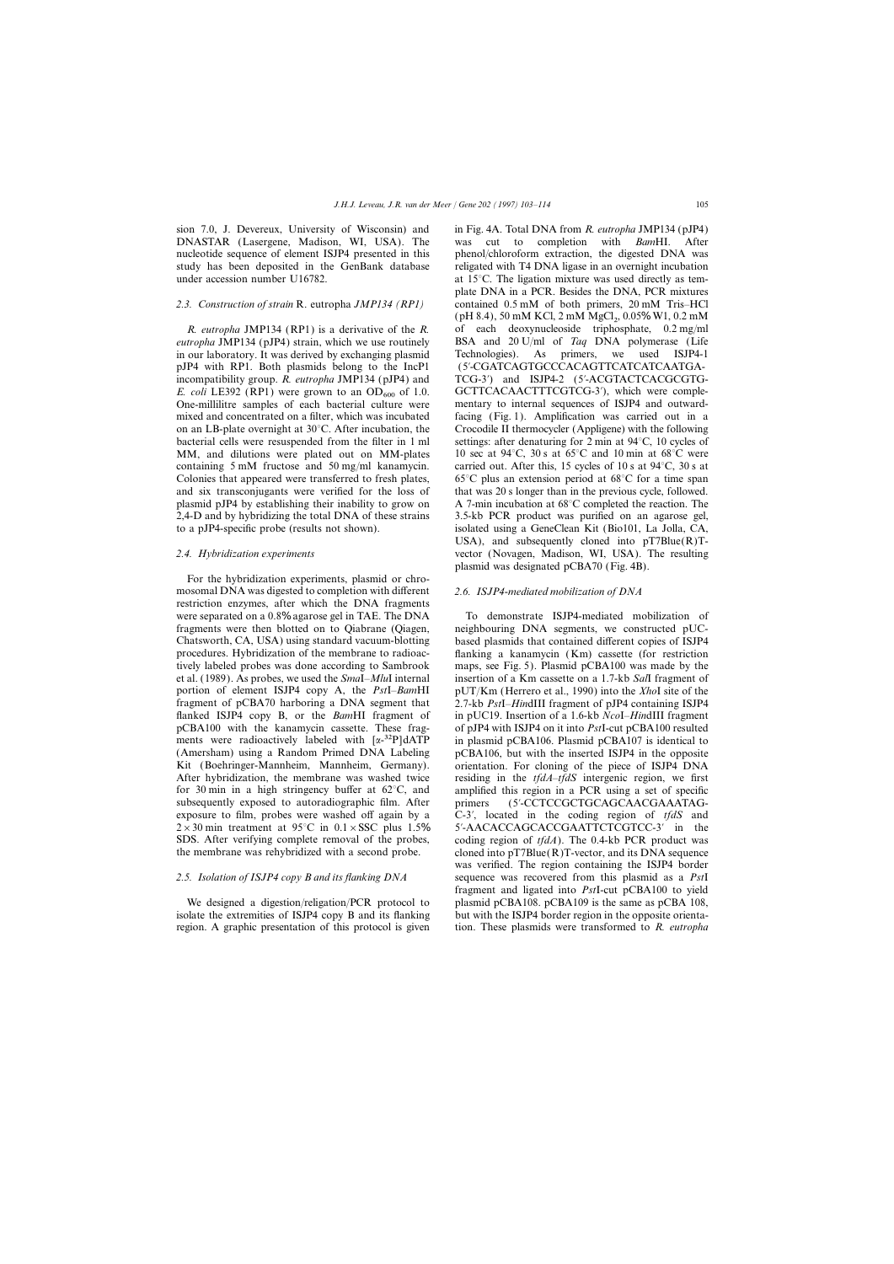sion 7.0, J. Devereux, University of Wisconsin) and in Fig. 4A. Total DNA from *R. eutropha* JMP134 (pJP4) DNASTAR (Lasergene, Madison, WI, USA). The was cut to completion with *Bam*HI. After nucleotide sequence of element ISJP4 presented in this phenol/chloroform extraction, the digested DNA was study has been deposited in the GenBank database religated with T4 DNA ligase in an overnight incubation under accession number U16782.  $\qquad \qquad$  at 15°C. The ligation mixture was used directly as tem-

*eutropha* JMP134 (pJP4) strain, which we use routinely BSA and 20 U/ml of *Taq* DNA polymerase (Life in our laboratory. It was derived by exchanging plasmid Technologies). As primers, we used ISJP4-1 in our laboratory. It was derived by exchanging plasmid Technologies). As pJP4 with RP1. Both plasmids belong to the IncP1 (5∞-CGATCAGTGCCCACAGTTCATCATCAATGAincompatibility group. *R. eutropha* JMP134 (pJP4) and TCG-3<sup>'</sup>) and ISJP4-2 (5<sup>'</sup>-ACGTACTCACGCGTG-*E. coli* LE392 (RP1) were grown to an OD<sub>600</sub> of 1.0. GCTTCACAACTTTCGTCG-3<sup>'</sup>), which were comple-<br>One-millilitre samples of each bacterial culture were mentary to internal sequences of ISJP4 and outward-One-millilitre samples of each bacterial culture were mixed and concentrated on a filter, which was incubated facing (Fig. 1). Amplification was carried out in a on an LB-plate overnight at 30°C. After incubation, the Crocodile II thermocycler (Appligene) with the following bacterial cells were resuspended from the filter in 1 ml settings: after denaturing for 2 min at 94°C, 10 cycles of MM, and dilutions were plated out on MM-plates 10 sec at 94 $\degree$ C, 30 s at 65 $\degree$ C and 10 min at 68 $\degree$ C were containing 5 mM fructose and 50 mg/ml kanamycin. carried out. After this, 15 cycles of 10 s at  $94^{\circ}$ C, 30 s at Colonies that appeared were transferred to fresh plates,  $65^{\circ}$ C plus an extension period at  $68^{\circ}$ C for a time span and six transconjugants were verified for the loss of that was 20 s longer than in the previous cycle, followed. plasmid pJP4 by establishing their inability to grow on A 7-min incubation at 68°C completed the reaction. The 2,4-D and by hybridizing the total DNA of these strains 3.5-kb PCR product was purified on an agarose gel, to a pJP4-specific probe (results not shown). isolated using a GeneClean Kit (Bio101, La Jolla, CA,

For the hybridization experiments, plasmid or chromosomal DNA was digested to completion with different *2.6. ISJP4-mediated mobilization of DNA* restriction enzymes, after which the DNA fragments were separated on a 0.8% agarose gel in TAE. The DNA To demonstrate ISJP4-mediated mobilization of fragments were then blotted on to Qiabrane (Qiagen, neighbouring DNA segments, we constructed pUC-Chatsworth, CA, USA) using standard vacuum-blotting based plasmids that contained different copies of ISJP4 procedures. Hybridization of the membrane to radioac- flanking a kanamycin ( Km) cassette (for restriction tively labeled probes was done according to Sambrook maps, see Fig. 5). Plasmid pCBA100 was made by the et al. (1989). As probes, we used the *Sma*I–*Mlu*I internal insertion of a Km cassette on a 1.7-kb *Sal*I fragment of portion of element ISJP4 copy A, the *Pst*I–*Bam*HI pUT/Km (Herrero et al., 1990) into the *Xho*I site of the fragment of pCBA70 harboring a DNA segment that 2.7-kb *Pst*I–*Hin*dIII fragment of pJP4 containing ISJP4 flanked ISJP4 copy B, or the *Bam*HI fragment of in pUC19. Insertion of a 1.6-kb *Nco*I–*Hin*dIII fragment pCBA100 with the kanamycin cassette. These frag- of pJP4 with ISJP4 on it into *Pst*I-cut pCBA100 resulted ments were radioactively labeled with  $\alpha^{-32}P$  dATP in plasmid pCBA106. Plasmid pCBA107 is identical to (Amersham) using a Random Primed DNA Labeling pCBA106, but with the inserted ISJP4 in the opposite Kit (Boehringer-Mannheim, Mannheim, Germany). orientation. For cloning of the piece of ISJP4 DNA<br>After hybridization, the membrane was washed twice residing in the *tfdA-tfdS* intergenic region, we first for 30 min in a high stringency buffer at  $62^{\circ}$ C, and amplified this region in a PCR using a set of specific subsequently exposed to autoradiographic film. After primers (5′-CCTCCGCTGCAGCAACGAAATAGexposure to film, probes were washed off again by a C-3∞, located in the coding region of *tfdS* and  $2\times30$  min treatment at 95°C in 0.1×SSC plus 1.5% 5′-AACACCAGCACCGAATTCTCGTCC-3′ in the SDS. After verifying complete removal of the probes, coding region of *tfdA*). The 0.4-kb PCR product was the membrane was rehybridized with a second probe. cloned into  $pT7Blue(R)T-vector$ , and its DNA sequence

isolate the extremities of ISJP4 copy B and its flanking but with the ISJP4 border region in the opposite orientaregion. A graphic presentation of this protocol is given tion. These plasmids were transformed to *R. eutropha*

plate DNA in a PCR. Besides the DNA, PCR mixtures *2.3. Construction of strain* R. eutropha *JMP134 (RP1)* contained 0.5 mM of both primers, 20 mM Tris–HCl  $(pH 8.4)$ , 50 mM KCl, 2 mM MgCl<sub>2</sub>, 0.05% W1, 0.2 mM *R. eutropha* JMP134 (RP1) is a derivative of the *R.* of each deoxynucleoside triphosphate, 0.2 mg/ml USA), and subsequently cloned into  $pT7Blue(R)T-$ *2.4. Hybridization experiments* vector (Novagen, Madison, WI, USA). The resulting plasmid was designated pCBA70 (Fig. 4B).

residing in the *tfdA–tfdS* intergenic region, we first was verified. The region containing the ISJP4 border *2.5. Isolation of ISJP4 copy B and its flanking DNA* sequence was recovered from this plasmid as a *Pst*I fragment and ligated into *Pst*I-cut pCBA100 to yield We designed a digestion/religation/PCR protocol to plasmid pCBA108. pCBA109 is the same as pCBA 108,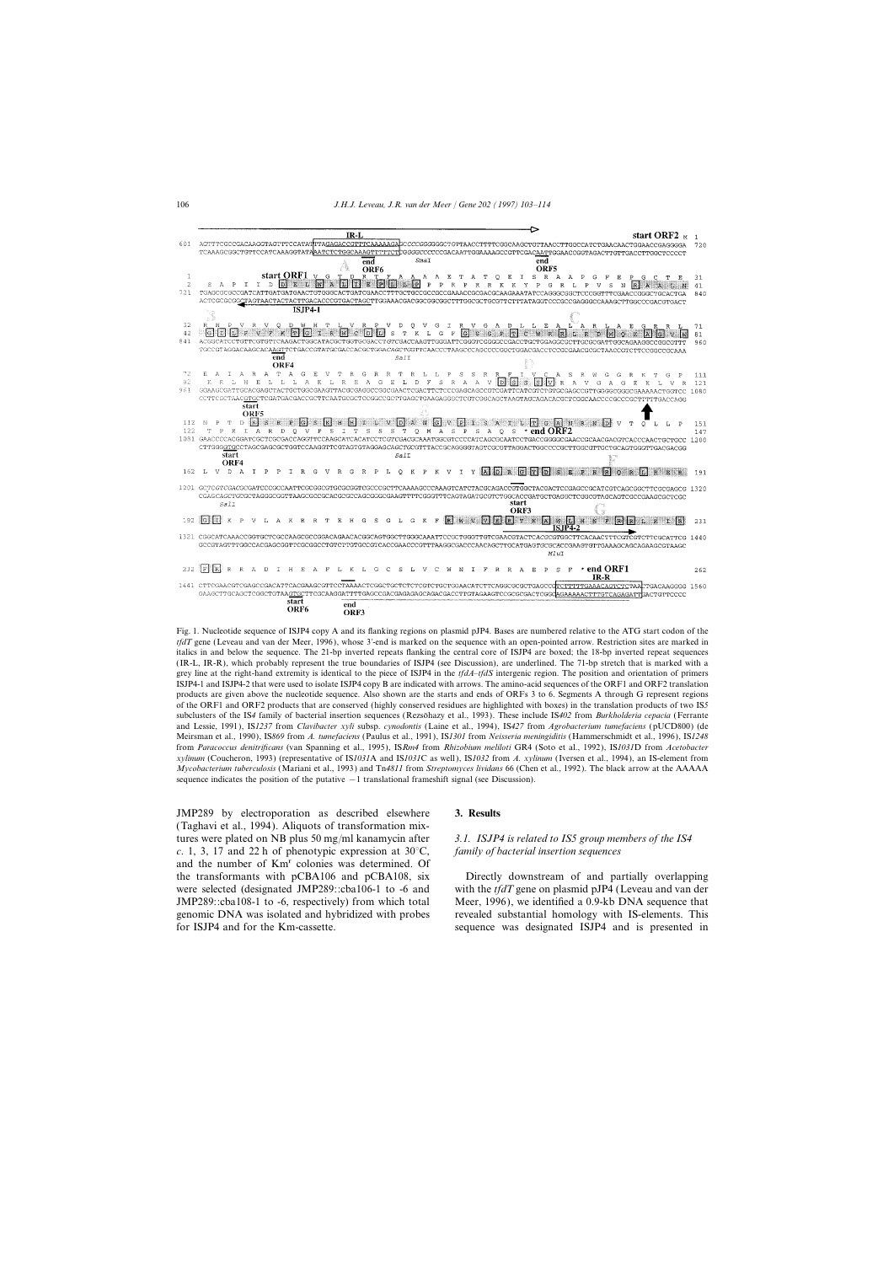

Fig. 1. Nucleotide sequence of ISJP4 copy A and its flanking regions on plasmid pJP4. Bases are numbered relative to the ATG start codon of the *tfdT* gene (Leveau and van der Meer, 1996), whose 3'-end is marked on the sequence with an open-pointed arrow. Restriction sites are marked in italics in and below the sequence. The 21-bp inverted repeats flanking the central core of ISJP4 are boxed; the 18-bp inverted repeat sequences (IR-L, IR-R), which probably represent the true boundaries of ISJP4 (see Discussion), are underlined. The 71-bp stretch that is marked with a grey line at the right-hand extremity is identical to the piece of ISJP4 in the *tfdA*–*tfdS* intergenic region. The position and orientation of primers ISJP4-1 and ISJP4-2 that were used to isolate ISJP4 copy B are indicated with arrows. The amino-acid sequences of the ORF1 and ORF2 translation products are given above the nucleotide sequence. Also shown are the starts and ends of ORFs 3 to 6. Segments A through G represent regions of the ORF1 and ORF2 products that are conserved (highly conserved residues are highlighted with boxes) in the translation products of two IS*5* subclusters of the IS4 family of bacterial insertion sequences (Rezsöhazy et al., 1993). These include IS402 from *Burkholderia cepacia* (Ferrante and Lessie, 1991), IS*1237* from *Clavibacter xyli* subsp. *cynodontis* (Laine et al., 1994), IS*427* from *Agrobacterium tumefaciens* (pUCD800) (de Meirsman et al., 1990), IS*869* from *A. tumefaciens* (Paulus et al., 1991), IS*1301* from *Neisseria meningiditis* (Hammerschmidt et al., 1996), IS*1248* from *Paracoccus denitrificans* (van Spanning et al., 1995), IS*Rm4* from *Rhizobium meliloti* GR4 (Soto et al., 1992), IS*1031*D from *Acetobacter xylinum* (Coucheron, 1993) (representative of IS*1031*A and IS*1031*C as well ), IS*1032* from *A. xylinum* (Iversen et al., 1994), an IS-element from *Mycobacterium tuberculosis* (Mariani et al., 1993) and Tn*4811* from *Streptomyces lividans* 66 (Chen et al., 1992). The black arrow at the AAAAA sequence indicates the position of the putative −1 translational frameshift signal (see Discussion).

JMP289 by electroporation as described elsewhere **3. Results** (Taghavi et al., 1994). Aliquots of transformation mixtures were plated on NB plus 50 mg/ml kanamycin after *3.1. ISJP4 is related to IS5 group members of the IS4 c*. 1, 3, 17 and 22 h of phenotypic expression at 30°C, *family of bacterial insertion sequences* and the number of Km<sup>r</sup> colonies was determined. Of the transformants with pCBA106 and pCBA108, six Directly downstream of and partially overlapping

were selected (designated JMP289::cba106-1 to -6 and with the *tfdT* gene on plasmid pJP4 (Leveau and van der JMP289::cba108-1 to -6, respectively) from which total Meer, 1996), we identified a 0.9-kb DNA sequence that genomic DNA was isolated and hybridized with probes revealed substantial homology with IS-elements. This for ISJP4 and for the Km-cassette. Sequence was designated ISJP4 and is presented in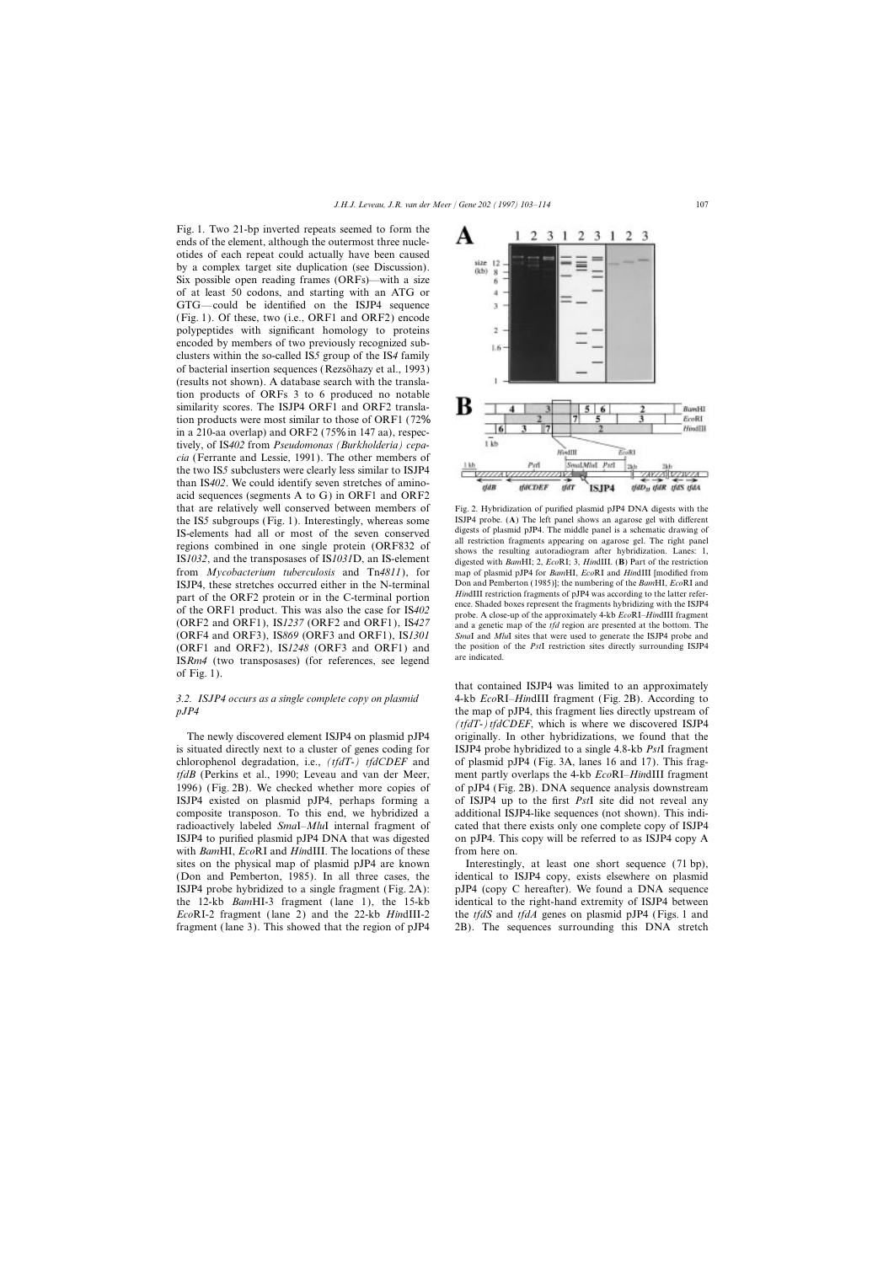Fig. 1. Two 21-bp inverted repeats seemed to form the ends of the element, although the outermost three nucleotides of each repeat could actually have been caused by a complex target site duplication (see Discussion). Six possible open reading frames (ORFs)—with a size of at least 50 codons, and starting with an ATG or GTG—could be identified on the ISJP4 sequence (Fig. 1). Of these, two (i.e., ORF1 and ORF2) encode polypeptides with significant homology to proteins encoded by members of two previously recognized subclusters within the so-called IS*5* group of the IS*4* family of bacterial insertion sequences (Rezsonazy et al., 1993) (results not shown). A database search with the translation products of ORFs 3 to 6 produced no notable similarity scores. The ISJP4 ORF1 and ORF2 translation products were most similar to those of ORF1 (72% in a 210-aa overlap) and ORF2 (75% in 147 aa), respectively, of IS*402* from *Pseudomonas (Burkholderia) cepacia* (Ferrante and Lessie, 1991). The other members of the two IS*5* subclusters were clearly less similar to ISJP4 than IS*402*. We could identify seven stretches of aminoacid sequences (segments A to G) in ORF1 and ORF2 that are relatively well conserved between members of Fig. 2. Hybridization of purified plasmid pJP4 DNA digests with the IS5 subgroups (Fig. 1) Interestingly whereas some ISJP4 probe. (A) The left panel shows an agarose g ISJP4 probe. (**A**) The left panel shows an agarose gel with different the IS*5* subgroups (Fig. 1). Interestingly, whereas some subsets of plasmid pJP4. The middle panel is a schematic drawing of **IS** aloments had all arr IS-elements had all or most of the seven conserved<br>all restriction fragments appearing on agarose gel. The right panel regions combined in one single protein (ORF832 of shows the resulting autoradiogram after hybridization. Lanes: 1, IS*1032*, and the transposases of IS*1031*D, an IS-element digested with *Bam*HI; 2, *Eco*RI; 3, *Hin*dIII. (**B**) Part of the restriction from *Mycobacterium tuberculosis* and Tn*4811*), for map of plasmid pJP4 for *Bam*HI, *Eco*RI and *Hin*dIII [modified from ISJP4, these stretches occurred either in the N-terminal Don and Pemberton (1985)]; the numbering of the *Bam*HI, *Eco*RI and part of the ORF2 protein or in the C-terminal portion<br>of the ORF1 product. This was also the case for IS402<br>probe. A close-up of the approximately 4-kb *EcoRI–HindIII* fragment (ORF2 and ORF1), IS*1237* (ORF2 and ORF1), IS*427* and a genetic map of the *tfd* region are presented at the bottom. The (ORF4 and ORF3), IS*869* (ORF3 and ORF1), IS*1301 Sma*I and *Mlu*I sites that were used to generate the ISJP4 probe and (ORF1 and ORF2), ISI248 (ORF3 and ORF1) and the position of the *PstI* restriction sites directly surrounding ISJP4<br>IS Read (true tensores seen) (for a performance and local are indicated. IS*Rm4* (two transposases) (for references, see legend of Fig. 1).

is situated directly next to a cluster of genes coding for ISJP4 probe hybridized to a single 4.8-kb *Pst*I fragment chlorophenol degradation, i.e., *(tfdT-) tfdCDEF* and of plasmid pJP4 (Fig. 3A, lanes 16 and 17). This frag*tfdB* (Perkins et al., 1990; Leveau and van der Meer, ment partly overlaps the 4-kb *Eco*RI–*Hin*dIII fragment 1996) (Fig. 2B). We checked whether more copies of of pJP4 (Fig. 2B). DNA sequence analysis downstream ISJP4 existed on plasmid pJP4, perhaps forming a of ISJP4 up to the first *Pst*I site did not reveal any composite transposon. To this end, we hybridized a additional ISJP4-like sequences (not shown). This indiradioactively labeled *Sma*I–*Mlu*I internal fragment of cated that there exists only one complete copy of ISJP4 ISJP4 to purified plasmid pJP4 DNA that was digested on pJP4. This copy will be referred to as ISJP4 copy A with *Bam*HI, *Eco*RI and *Hin*dIII. The locations of these from here on. sites on the physical map of plasmid pJP4 are known Interestingly, at least one short sequence (71 bp), fragment (lane 3). This showed that the region of pJP4 2B). The sequences surrounding this DNA stretch

size  $12$ (kb)  $\overline{\mathbf{z}}$ 6 × Ī,  $\overline{2}$ 1.6 R **BanHI** EcoRI HindIII 6  $1kb$ **HistIII** EoRI SmalMhal Pstl Psrl 264 anza|| izzivza - 1 **old R HACDEF**  $<sup>147</sup>$ </sup> ISJP4 tfdD<sub>u</sub> tfdR tfdS tfdA

 $\mathbf{1}$  $\overline{2}$ 

3 1

 $2<sup>3</sup>$ 

that contained ISJP4 was limited to an approximately *3.2. ISJP4 occurs as a single complete copy on plasmid* 4-kb *Eco*RI–*Hin*dIII fragment (Fig. 2B). According to *pJP4* the map of pJP4, this fragment lies directly upstream of  $(tfdT-)tfdCDEF$ , which is where we discovered ISJP4 The newly discovered element ISJP4 on plasmid pJP4 originally. In other hybridizations, we found that the

(Don and Pemberton, 1985). In all three cases, the identical to ISJP4 copy, exists elsewhere on plasmid ISJP4 probe hybridized to a single fragment (Fig. 2A): pJP4 (copy C hereafter). We found a DNA sequence the 12-kb *Bam*HI-3 fragment ( lane 1), the 15-kb identical to the right-hand extremity of ISJP4 between *Eco*RI-2 fragment (lane 2) and the 22-kb *Hin*dIII-2 the *tfdS* and *tfdA* genes on plasmid pJP4 (Figs. 1 and

A

1.  $2<sub>3</sub>$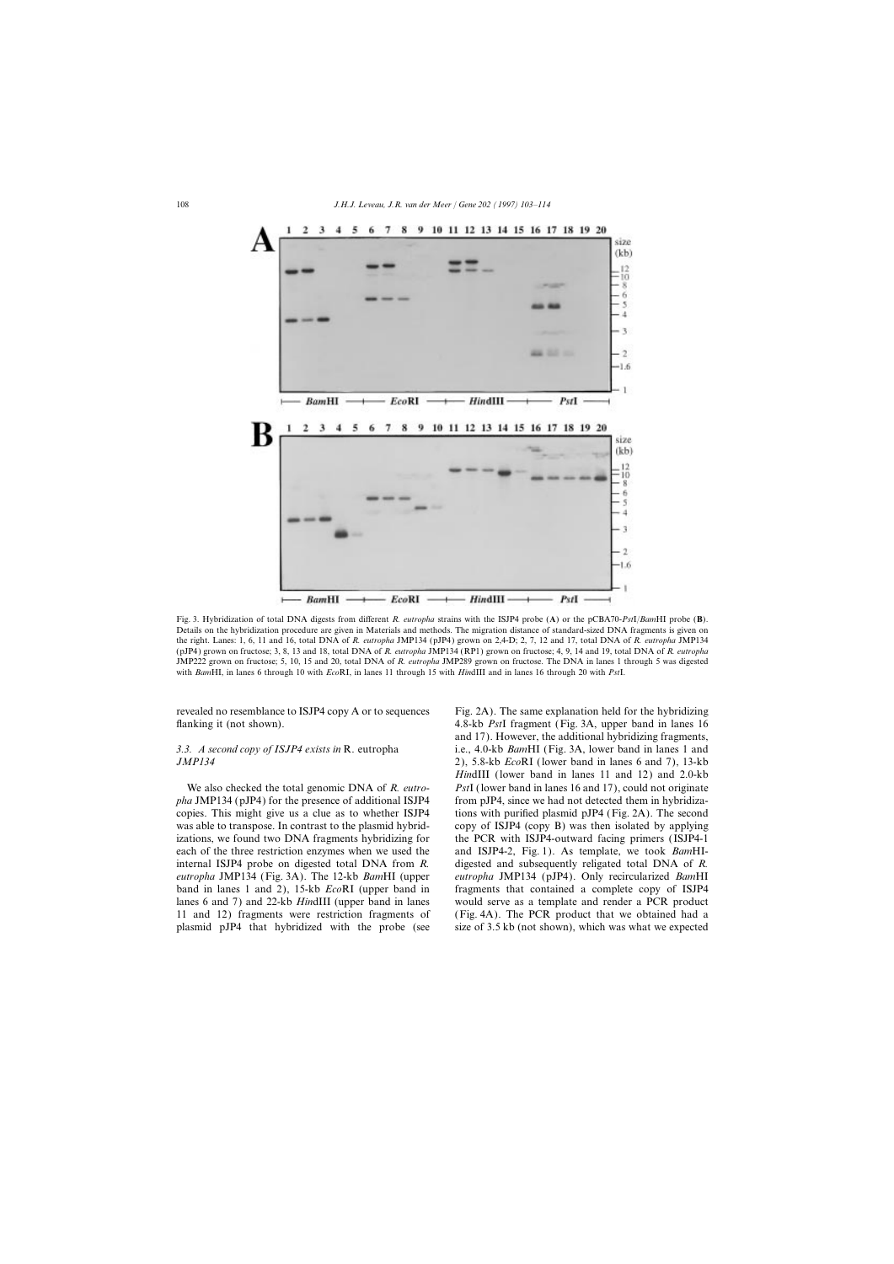

Fig. 3. Hybridization of total DNA digests from different *R. eutropha* strains with the ISJP4 probe (**A**) or the pCBA70-*Pst*I/*Bam*HI probe (**B**). Details on the hybridization procedure are given in Materials and methods. The migration distance of standard-sized DNA fragments is given on the right. Lanes: 1, 6, 11 and 16, total DNA of *R. eutropha* JMP134 (pJP4) grown on 2,4-D; 2, 7, 12 and 17, total DNA of *R. eutropha* JMP134 (pJP4) grown on fructose; 3, 8, 13 and 18, total DNA of *R. eutropha* JMP134 (RP1) grown on fructose; 4, 9, 14 and 19, total DNA of *R. eutropha* JMP222 grown on fructose; 5, 10, 15 and 20, total DNA of *R. eutropha* JMP289 grown on fructose. The DNA in lanes 1 through 5 was digested with *Bam*HI, in lanes 6 through 10 with *Eco*RI, in lanes 11 through 15 with *Hin*dIII and in lanes 16 through 20 with *Pst*I.

revealed no resemblance to ISJP4 copy A or to sequences Fig. 2A). The same explanation held for the hybridizing flanking it (not shown). 4.8-kb *Pst*I fragment (Fig. 3A, upper band in lanes 16

*pha* JMP134 (pJP4) for the presence of additional ISJP4 from pJP4, since we had not detected them in hybridizacopies. This might give us a clue as to whether ISJP4 tions with purified plasmid pJP4 (Fig. 2A). The second was able to transpose. In contrast to the plasmid hybrid- copy of ISJP4 (copy B) was then isolated by applying izations, we found two DNA fragments hybridizing for the PCR with ISJP4-outward facing primers (ISJP4-1 each of the three restriction enzymes when we used the and ISJP4-2, Fig. 1). As template, we took *Bam*HIinternal ISJP4 probe on digested total DNA from *R.* digested and subsequently religated total DNA of *R. eutropha* JMP134 (Fig. 3A). The 12-kb *Bam*HI (upper *eutropha* JMP134 (pJP4). Only recircularized *Bam*HI band in lanes 1 and 2), 15-kb *Eco*RI (upper band in fragments that contained a complete copy of ISJP4 lanes 6 and 7) and 22-kb *Hin*dIII (upper band in lanes would serve as a template and render a PCR product 11 and 12) fragments were restriction fragments of (Fig. 4A). The PCR product that we obtained had a plasmid pJP4 that hybridized with the probe (see size of 3.5 kb (not shown), which was what we expected

and 17). However, the additional hybridizing fragments, *3.3. A second copy of ISJP4 exists in* R. eutropha i.e., 4.0-kb *Bam*HI (Fig. 3A, lower band in lanes 1 and *JMP134* 2), 5.8-kb *Eco*RI (lower band in lanes 6 and 7), 13-kb *Hin*dIII (lower band in lanes 11 and 12) and 2.0-kb We also checked the total genomic DNA of *R. eutro- Pst*I (lower band in lanes 16 and 17), could not originate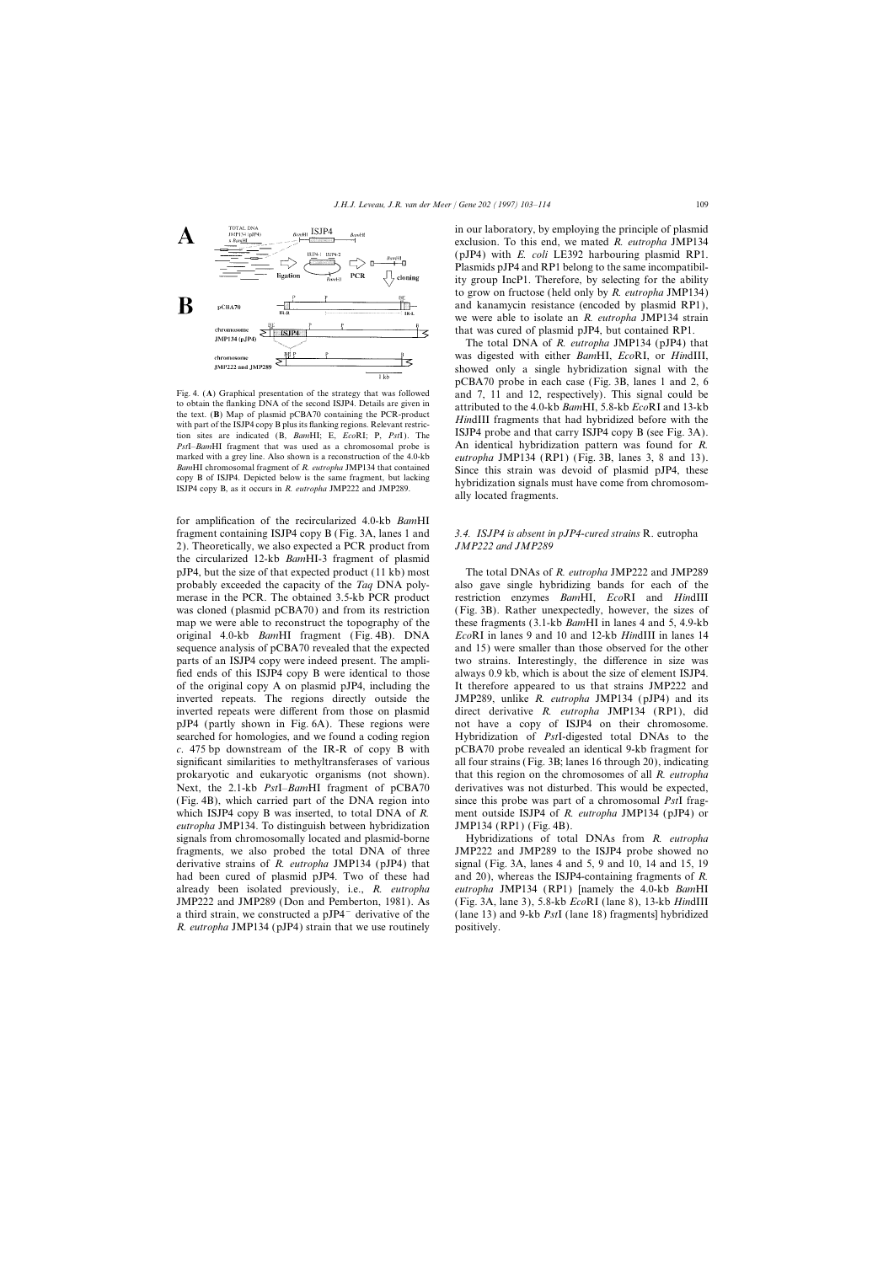

to obtain the flanking DNA of the second ISJP4. Details are given in attributed to the 4.0-kb *Bam*HI, 5.8-kb *Eco*RI and 13-kb the text. (B) Map of plasmid pCBA70 containing the PCR-product with part of the ISJP4 copy B plus its flanking regions. Relevant restric-<br>tion sites are indicated (B, BamHI; E, EcoRI; P, PstI). The ISJP4 probe and that carry ISJP4 copy B (see Fig. 3A). *Pst*I–*Bam*HI fragment that was used as a chromosomal probe is An identical hybridization pattern was found for *R.* marked with a grey line. Also shown is a reconstruction of the 4.0-kb *eutropha* JMP134 (RP1) (Fig. 3B, lanes 3, 8 and 13).<br>*BamHI* chromosomal fragment of *R. eutropha* JMP134 that contained Since this strain was devoid o BamHI chromosomal tragment of *R. eutropha* JMP134 that contained<br>
copy B of ISJP4. Depicted below is the same fragment, but lacking<br>
ISJP4 copy B, as it occurs in *R. eutropha* JMP222 and JMP289.<br>
Since this strain was de

for amplification of the recircularized 4.0-kb *Bam*HI fragment containing ISJP4 copy B (Fig. 3A, lanes 1 and *3.4. ISJP4 is absent in pJP4-cured strains* R. eutropha 2). Theoretically, we also expected a PCR product from *JMP222 and JMP289* the circularized 12-kb *Bam*HI-3 fragment of plasmid pJP4, but the size of that expected product (11 kb) most The total DNAs of *R. eutropha* JMP222 and JMP289 probably exceeded the capacity of the *Taq* DNA poly- also gave single hybridizing bands for each of the merase in the PCR. The obtained 3.5-kb PCR product restriction enzymes *Bam*HI, *Eco*RI and *Hin*dIII was cloned (plasmid pCBA70) and from its restriction (Fig. 3B). Rather unexpectedly, however, the sizes of map we were able to reconstruct the topography of the these fragments (3.1-kb *Bam*HI in lanes 4 and 5, 4.9-kb original 4.0-kb *Bam*HI fragment (Fig. 4B). DNA *Eco*RI in lanes 9 and 10 and 12-kb *Hin*dIII in lanes 14 sequence analysis of pCBA70 revealed that the expected and 15) were smaller than those observed for the other parts of an ISJP4 copy were indeed present. The ampli- two strains. Interestingly, the difference in size was fied ends of this ISJP4 copy B were identical to those always 0.9 kb, which is about the size of element ISJP4. of the original copy A on plasmid pJP4, including the It therefore appeared to us that strains JMP222 and inverted repeats. The regions directly outside the JMP289, unlike *R. eutropha* JMP134 (pJP4) and its inverted repeats were different from those on plasmid direct derivative *R. eutropha* JMP134 (RP1), did pJP4 (partly shown in Fig. 6A). These regions were not have a copy of ISJP4 on their chromosome. searched for homologies, and we found a coding region Hybridization of *Pst*I-digested total DNAs to the *c*. 475 bp downstream of the IR-R of copy B with pCBA70 probe revealed an identical 9-kb fragment for significant similarities to methyltransferases of various all four strains (Fig. 3B; lanes 16 through 20), indicating prokaryotic and eukaryotic organisms (not shown). that this region on the chromosomes of all *R. eutropha* Next, the 2.1-kb *Pst*I–*Bam*HI fragment of pCBA70 derivatives was not disturbed. This would be expected, (Fig. 4B), which carried part of the DNA region into since this probe was part of a chromosomal *Pst*I fragwhich ISJP4 copy B was inserted, to total DNA of *R*. ment outside ISJP4 of *R. eutropha* JMP134 (pJP4) or *eutropha* JMP134. To distinguish between hybridization JMP134 (RP1) (Fig. 4B). signals from chromosomally located and plasmid-borne Hybridizations of total DNAs from *R. eutropha* fragments, we also probed the total DNA of three JMP222 and JMP289 to the ISJP4 probe showed no derivative strains of *R. eutropha* JMP134 (pJP4) that signal (Fig. 3A, lanes 4 and 5, 9 and 10, 14 and 15, 19 had been cured of plasmid pJP4. Two of these had and 20), whereas the ISJP4-containing fragments of *R*. already been isolated previously, i.e., *R. eutropha eutropha* JMP134 (RP1) [namely the 4.0-kb *Bam*HI JMP222 and JMP289 (Don and Pemberton, 1981). As (Fig. 3A, lane 3), 5.8-kb *Eco*RI (lane 8), 13-kb *Hin*dIII a third strain, we constructed a pJP4− derivative of the ( lane 13) and 9-kb *Pst*I (lane 18) fragments] hybridized *R. eutropha* JMP134 (pJP4) strain that we use routinely positively.

in our laboratory, by employing the principle of plasmid exclusion. To this end, we mated *R. eutropha* JMP134 (pJP4) with *E. coli* LE392 harbouring plasmid RP1. Plasmids pJP4 and RP1 belong to the same incompatibility group IncP1. Therefore, by selecting for the ability to grow on fructose (held only by *R. eutropha* JMP134) and kanamycin resistance (encoded by plasmid RP1), we were able to isolate an *R. eutropha* JMP134 strain that was cured of plasmid pJP4, but contained RP1.

The total DNA of *R. eutropha* JMP134 (pJP4) that was digested with either *Bam*HI, *Eco*RI, or *Hin*dIII, showed only a single hybridization signal with the pCBA70 probe in each case (Fig. 3B, lanes 1 and 2, 6 Fig. 4. (A) Graphical presentation of the strategy that was followed and 7, 11 and 12, respectively). This signal could be to obtain the flanking DNA of the second ISJP4. Details are given in attributed to the 4.0 kb BawHI ally located fragments.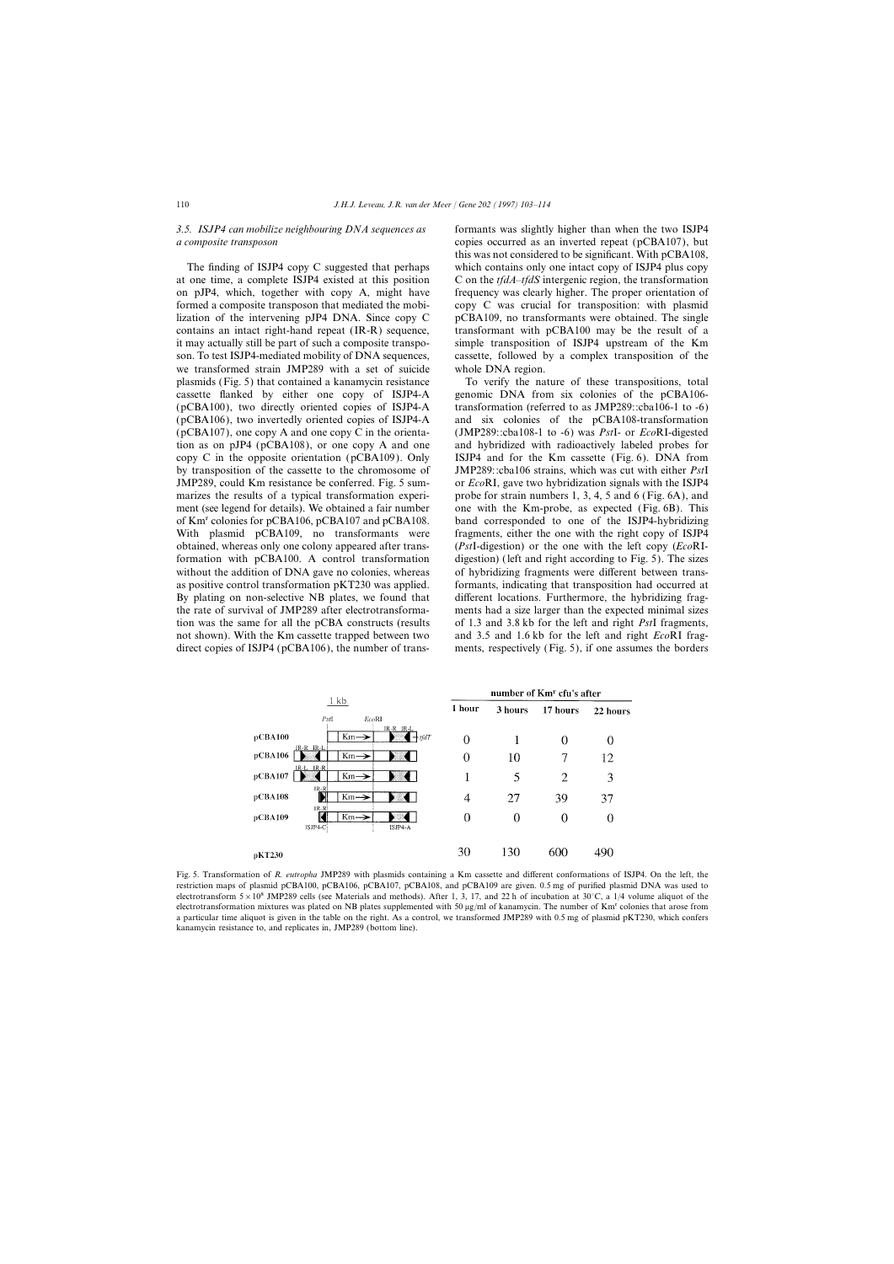at one time, a complete ISJP4 existed at this position C on the *tfdA*–*tfdS* intergenic region, the transformation on pJP4, which, together with copy A, might have frequency was clearly higher. The proper orientation of formed a composite transposon that mediated the mobi- copy C was crucial for transposition: with plasmid lization of the intervening pJP4 DNA. Since copy C pCBA109, no transformants were obtained. The single contains an intact right-hand repeat (IR-R) sequence, transformant with pCBA100 may be the result of a it may actually still be part of such a composite transpo- simple transposition of ISJP4 upstream of the Km son. To test ISJP4-mediated mobility of DNA sequences, cassette, followed by a complex transposition of the we transformed strain JMP289 with a set of suicide whole DNA region. plasmids (Fig. 5) that contained a kanamycin resistance To verify the nature of these transpositions, total cassette flanked by either one copy of ISJP4-A genomic DNA from six colonies of the pCBA106- (pCBA100), two directly oriented copies of ISJP4-A transformation (referred to as JMP289::cba106-1 to -6) (pCBA106), two invertedly oriented copies of ISJP4-A and six colonies of the pCBA108-transformation (pCBA107), one copy A and one copy C in the orienta- (JMP289::cba108-1 to -6) was *Pst*I- or *Eco*RI-digested tion as on pJP4 (pCBA108), or one copy A and one and hybridized with radioactively labeled probes for copy C in the opposite orientation (pCBA109). Only ISJP4 and for the Km cassette (Fig. 6). DNA from by transposition of the cassette to the chromosome of JMP289::cba106 strains, which was cut with either *Pst*I JMP289, could Km resistance be conferred. Fig. 5 sum- or *Eco*RI, gave two hybridization signals with the ISJP4 marizes the results of a typical transformation experi-<br>probe for strain numbers 1, 3, 4, 5 and 6 (Fig. 6A), and ment (see legend for details). We obtained a fair number one with the Km-probe, as expected (Fig. 6B). This of Kmr colonies for pCBA106, pCBA107 and pCBA108. band corresponded to one of the ISJP4-hybridizing With plasmid pCBA109, no transformants were fragments, either the one with the right copy of ISJP4 obtained, whereas only one colony appeared after trans- (*Pst*I-digestion) or the one with the left copy (*Eco*RIformation with pCBA100. A control transformation digestion) (left and right according to Fig. 5). The sizes without the addition of DNA gave no colonies, whereas of hybridizing fragments were different between transas positive control transformation pKT230 was applied. formants, indicating that transposition had occurred at By plating on non-selective NB plates, we found that different locations. Furthermore, the hybridizing fragthe rate of survival of JMP289 after electrotransforma- ments had a size larger than the expected minimal sizes tion was the same for all the pCBA constructs (results of 1.3 and 3.8 kb for the left and right *Pst*I fragments, not shown). With the Km cassette trapped between two and 3.5 and 1.6 kb for the left and right *Eco*RI fragdirect copies of ISJP4 (pCBA106), the number of trans- ments, respectively (Fig. 5), if one assumes the borders

*3.5. ISJP4 can mobilize neighbouring DNA sequences as* formants was slightly higher than when the two ISJP4 *a composite transposon* copies occurred as an inverted repeat (pCBA107), but this was not considered to be significant. With pCBA108, The finding of ISJP4 copy C suggested that perhaps which contains only one intact copy of ISJP4 plus copy

|         | 1 <sub>kb</sub>                                               | number of Km <sup>r</sup> cfu's after |         |                |          |
|---------|---------------------------------------------------------------|---------------------------------------|---------|----------------|----------|
|         | PstI<br>EcoRI                                                 | 1 hour                                | 3 hours | 17 hours       | 22 hours |
| pCBA100 | $IR-R$ $IR-L$<br>$Km \rightarrow$<br>$+$ tfd $T$<br>IR-R IR-L | $\theta$                              |         | 0              | 0        |
| pCBA106 | $Km \rightarrow$                                              | $\overline{0}$                        | 10      | 7              | 12       |
| pCBA107 | $IR-L$ $IR-R$<br>$Km \rightarrow$                             | 1                                     | 5       | $\overline{2}$ | 3        |
| pCBA108 | $IR-R$<br>$Km \rightarrow$                                    | 4                                     | 27      | 39             | 37       |
| pCBA109 | $IR-R$<br>$Km \rightarrow$<br>$ISJP4-C$<br>ISJP4-A            | $\theta$                              | 0       | 0              | 0        |
| pKT230  |                                                               | 30                                    | 130     | 600            | 490      |

Fig. 5. Transformation of *R. eutropha* JMP289 with plasmids containing a Km cassette and different conformations of ISJP4. On the left, the restriction maps of plasmid pCBA100, pCBA106, pCBA107, pCBA108, and pCBA109 are given. 0.5 mg of purified plasmid DNA was used to electrotransform  $5 \times 10^8$  JMP289 cells (see Materials and methods). After 1, 3, 17, and 22 h of incubation at 30°C, a 1/4 volume aliquot of the electrotransformation mixtures was plated on NB plates supplemented with 50 µg/ml of kanamycin. The number of Km<sup>r</sup> colonies that arose from a particular time aliquot is given in the table on the right. As a control, we transformed JMP289 with 0.5 mg of plasmid pKT230, which confers kanamycin resistance to, and replicates in, JMP289 (bottom line).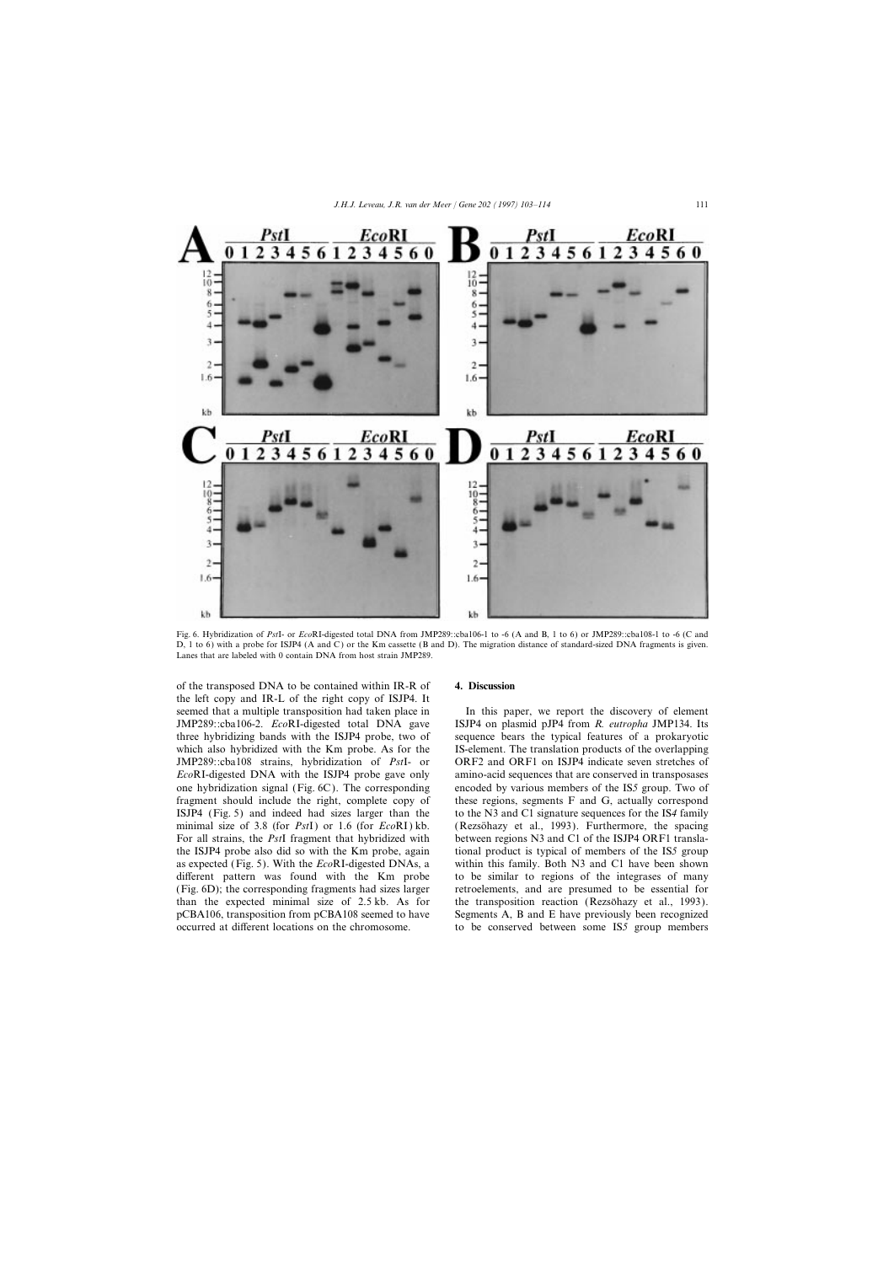

Fig. 6. Hybridization of *Pst*I- or *Eco*RI-digested total DNA from JMP289::cba106-1 to -6 (A and B, 1 to 6) or JMP289::cba108-1 to -6 (C and D, 1 to 6) with a probe for ISJP4 (A and C) or the Km cassette (B and D). The migration distance of standard-sized DNA fragments is given. Lanes that are labeled with 0 contain DNA from host strain JMP289.

of the transposed DNA to be contained within IR-R of **4. Discussion** the left copy and IR-L of the right copy of ISJP4. It seemed that a multiple transposition had taken place in In this paper, we report the discovery of element JMP289::cba106-2. *Eco*RI-digested total DNA gave ISJP4 on plasmid pJP4 from *R. eutropha* JMP134. Its three hybridizing bands with the ISJP4 probe, two of sequence bears the typical features of a prokaryotic which also hybridized with the Km probe. As for the IS-element. The translation products of the overlapping JMP289::cba108 strains, hybridization of *Pst*I- or ORF2 and ORF1 on ISJP4 indicate seven stretches of *EcoRI-digested DNA with the ISJP4 probe gave only* amino-acid sequences that are conserved in transposases one hybridization signal (Fig. 6C). The corresponding encoded by various members of the IS*5* group. Two of fragment should include the right, complete copy of these regions, segments F and G, actually correspond ISJP4 (Fig. 5) and indeed had sizes larger than the to the N3 and C1 signature sequences for the IS*4* family minimal size of 3.8 (for *PstI*) or 1.6 (for *EcoRI*) kb. (Rezsonary et al., 1993). Furthermore, the spacing For all strains, the *Pst*I fragment that hybridized with between regions N3 and C1 of the ISJP4 ORF1 translathe ISJP4 probe also did so with the Km probe, again tional product is typical of members of the IS*5* group as expected (Fig. 5). With the *Eco*RI-digested DNAs, a within this family. Both N3 and C1 have been shown different pattern was found with the Km probe to be similar to regions of the integrases of many (Fig. 6D); the corresponding fragments had sizes larger retroelements, and are presumed to be essential for than the expected minimal size of  $2.5 \text{ kb}$ . As for the transposition reaction (Rezsonary et al., 1993). pCBA106, transposition from pCBA108 seemed to have Segments A, B and E have previously been recognized

occurred at different locations on the chromosome. to be conserved between some IS*5* group members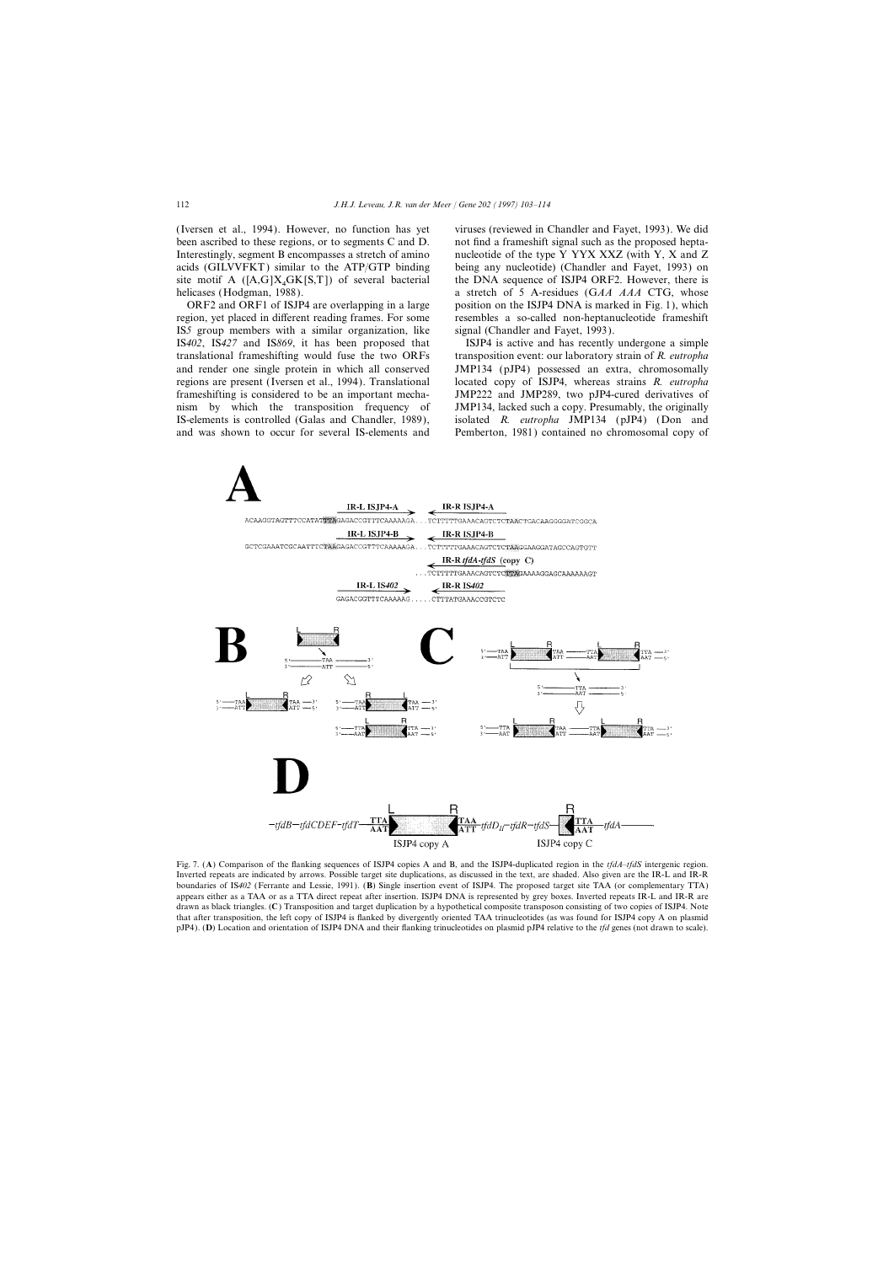been ascribed to these regions, or to segments C and D. not find a frameshift signal such as the proposed hepta-Interestingly, segment B encompasses a stretch of amino nucleotide of the type Y YYX XXZ (with Y, X and Z acids (GILVVFKT) similar to the ATP/GTP binding being any nucleotide) (Chandler and Fayet, 1993) on site motif A ( $[A,G]X_4GK[S,T]$ ) of several bacterial helicases (Hodgman, 1988).

region, yet placed in different reading frames. For some resembles a so-called non-heptanucleotide frameshift IS*5* group members with a similar organization, like signal (Chandler and Fayet, 1993). IS*402*, IS*427* and IS*869*, it has been proposed that ISJP4 is active and has recently undergone a simple translational frameshifting would fuse the two ORFs transposition event: our laboratory strain of *R. eutropha* and render one single protein in which all conserved JMP134 (pJP4) possessed an extra, chromosomally regions are present (Iversen et al., 1994). Translational located copy of ISJP4, whereas strains *R. eutropha* frameshifting is considered to be an important mecha- JMP222 and JMP289, two pJP4-cured derivatives of nism by which the transposition frequency of JMP134, lacked such a copy. Presumably, the originally IS-elements is controlled (Galas and Chandler, 1989), isolated *R. eutropha* JMP134 (pJP4) (Don and and was shown to occur for several IS-elements and Pemberton, 1981) contained no chromosomal copy of

(Iversen et al., 1994). However, no function has yet viruses (reviewed in Chandler and Fayet, 1993). We did the DNA sequence of ISJP4 ORF2. However, there is a stretch of 5 A-residues (GAA AAA CTG, whose ORF2 and ORF1 of ISJP4 are overlapping in a large position on the ISJP4 DNA is marked in Fig. 1), which



Fig. 7. (**A**) Comparison of the flanking sequences of ISJP4 copies A and B, and the ISJP4-duplicated region in the *tfdA*–*tfdS* intergenic region. Inverted repeats are indicated by arrows. Possible target site duplications, as discussed in the text, are shaded. Also given are the IR-L and IR-R boundaries of IS*402* (Ferrante and Lessie, 1991). (**B**) Single insertion event of ISJP4. The proposed target site TAA (or complementary TTA) appears either as a TAA or as a TTA direct repeat after insertion. ISJP4 DNA is represented by grey boxes. Inverted repeats IR-L and IR-R are drawn as black triangles. (**C**) Transposition and target duplication by a hypothetical composite transposon consisting of two copies of ISJP4. Note that after transposition, the left copy of ISJP4 is flanked by divergently oriented TAA trinucleotides (as was found for ISJP4 copy A on plasmid pJP4). (**D**) Location and orientation of ISJP4 DNA and their flanking trinucleotides on plasmid pJP4 relative to the *tfd* genes (not drawn to scale).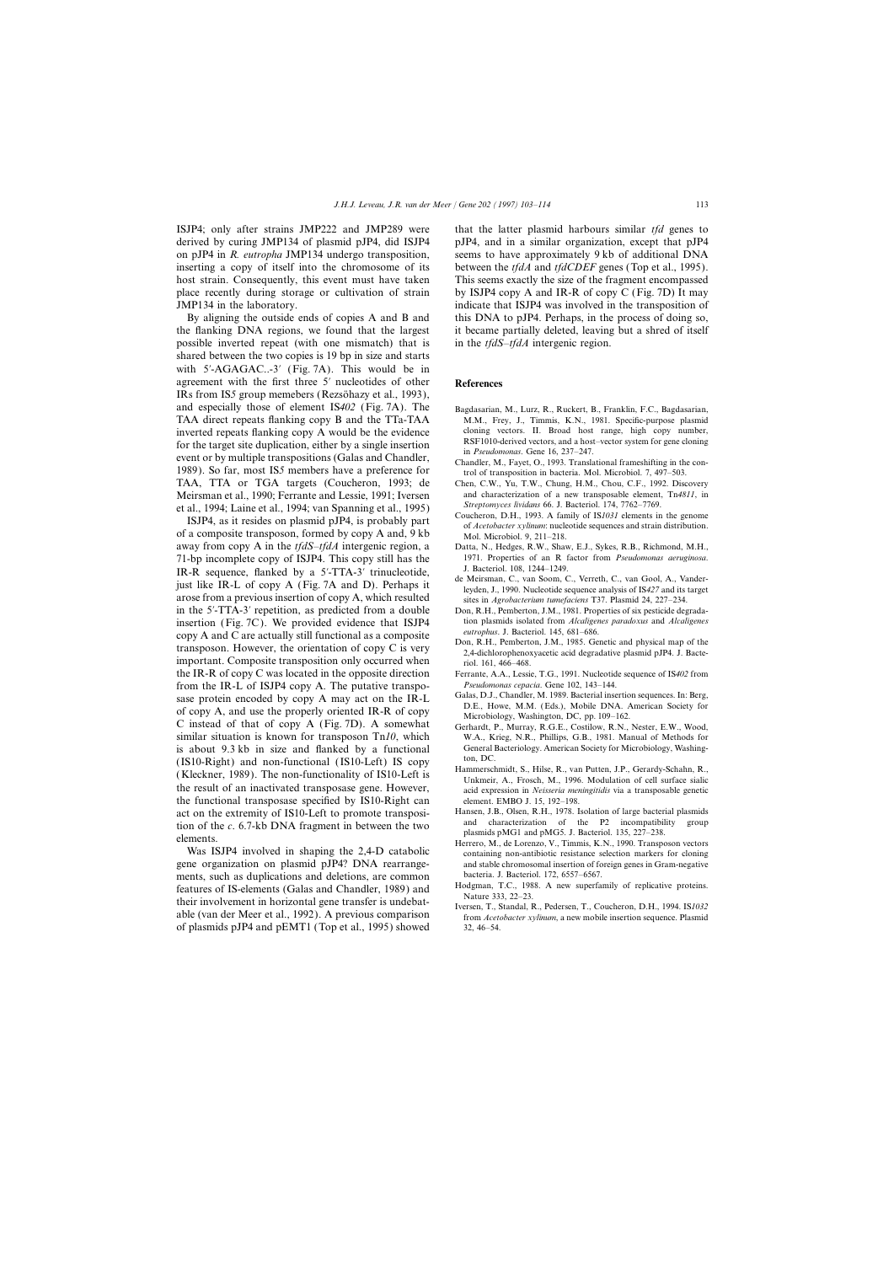ISJP4; only after strains JMP222 and JMP289 were that the latter plasmid harbours similar *tfd* genes to derived by curing JMP134 of plasmid pJP4, did ISJP4 pJP4, and in a similar organization, except that pJP4 on pJP4 in *R. eutropha* JMP134 undergo transposition, seems to have approximately 9 kb of additional DNA inserting a copy of itself into the chromosome of its between the *tfdA* and *tfdCDEF* genes (Top et al., 1995). host strain. Consequently, this event must have taken This seems exactly the size of the fragment encompassed place recently during storage or cultivation of strain by ISJP4 copy A and IR-R of copy C (Fig. 7D) It may JMP134 in the laboratory. indicate that ISJP4 was involved in the transposition of

the flanking DNA regions, we found that the largest it became partially deleted, leaving but a shred of itself possible inverted repeat (with one mismatch) that is in the *tfdS*–*tfdA* intergenic region. shared between the two copies is 19 bp in size and starts with 5′-AGAGAC..-3′ (Fig. 7A). This would be in agreement with the first three 5∞ nucleotides of other **References** IRs from IS<sub>2</sub> group memebers (Rezsöhazy et al., 1993), and especially those of element IS*402* (Fig. 7A). The Bagdasarian, M., Lurz, R., Ruckert, B., Franklin, F.C., Bagdasarian, TAA direct repeats flanking copy B and the TTa-TAA M.M., Frey, J., Timmis, K.N., 1981. Specific-purpose plasmid inverted repeats flanking copy A would be the evidence cloning vectors. II. Broad host range, high copy number, for the torget site duplication, either by a single insertion. for the target site duplication, either by a single insertion<br>event or by multiple transpositions (Galas and Chandler, The Chandler, M., Fayet, O., 1993. Translational frameshifting in the con-1989). So far, most IS5 members have a preference for trol of transposition in bacteria. Mol. Microbiol. 7, 497–503. TAA, TTA or TGA targets (Coucheron, 1993; de Chen, C.W., Yu, T.W., Chung, H.M., Chou, C.F., 1992. Disc Meirsman et al., 1990; Ferrante and Lessie, 1991; Iversen and characterization of a new transposable element, Tn4811, in at al. 1004; Jaine et al. 1004; van Spanning et al. 1005) Streptomyces lividans 66. J. Bacteriol. 174

et al., 1994; Laine et al., 1994; van Spanning et al., 1995)<br>
ISJP4, as it resides on plasmid pJP4, is probably part<br>
of a composite transposon, formed by copy A and, 9 kb<br>
away from copy A in the *tfdS-tfdA* intergenic re 71-bp incomplete copy of ISJP4. This copy still has the 1971. Properties of an R factor from *Pseudomonas aeruginosa*. IR-R sequence, flanked by a 5'-TTA-3' trinucleotide,<br>just like IR-L of copy A (Fig. 7A and D). Perhaps it<br>arose from a previous insertion of copy A, which resulted<br>its in Agrobacterium tumefaciens T37. Plasmid 24, 227–234. in the 5′-TTA-3′ repetition, as predicted from a double Don, R.H., Pemberton, J.M., 1981. Properties of six pesticide degradain plasmids isolated from *Alcaligenes paradoxus* and *Alcaligenes*<br>
conv **A** and C are actually still functional as a composite *eutrophus*. J. Bacteriol. 145, 681–686. copy A and C are actually still functional as a composite<br>transposon. However, the orientation of copy C is very<br>2,4-dichlorophenoxyacetic acid degradative plasmid pJP4. J. Bacteimportant. Composite transposition only occurred when riol. 161, 466–468. the IR-R of copy C was located in the opposite direction Ferrante, A.A., Lessie, T.G., 1991. Nucleotide sequence of IS*402* from **Pseudomonas cepacia. Gene 102, 143–144.** *Pseudomonas cepacia.* **Gene 102, 143–144.** *Pseudomonas cepacia.* **Gene 102, 143–144.** *Pseudomonas cepacia.* **Gene 102, 143–144.** *Pseudomonas cepacia.* **Gene 102, 143–144.** *Ps* sase protein encoded by copy A may act on the IR-L<br>of copy Bacterial insertion sequences. In: Berg,<br>of copy A, and use the properly oriented IR-R of copy<br>Microbiology, Washington, DC, pp. 109–162. C instead of that of copy A (Fig. 7D). A somewhat Gerhardt, P., Murray, R.G.E., Costilow, R.N., Nester, E.W., Wood, similar situation is known for transposon Tn*10*, which W.A., Krieg, N.R., Phillips, G.B., 1981. Manual of Methods for is about 9.3 kb in size and flanked by a functional General Bacteriology. American Society for Microbiology, Washing-(IS10-Right) and non-functional (IS10-Left) IS copy<br>
(Kleckner, 1989). The non-functionality of IS10-Left is<br>
the result of an inactivated transposase gene. However,<br>
Hammerschmidt, S., Hilse, R., van Putten, J.P., Gerardy the functional transposase specified by IS10-Right can element. EMBO J. 15, 192–198. act on the extremity of IS10-Left to promote transposi-<br>
Hansen, J.B., Olsen, R.H., 1978. Isolation of large bacterial plasmids<br>
and characterization of the P2 incompatibility group tion of the c. 6.7-kb DNA fragment in between the two<br>elements.<br>Was ISJP4 involved in shaping the 2,4-D catabolic<br>Was ISJP4 involved in shaping the 2,4-D catabolic<br>was  $\frac{135, 227-238}{25, 227-238}$ .

gene organization on plasmid pJP4? DNA rearrange-<br>ments, such as duplications and deletions, are common bacteria. J. Bacteriol. 172, 6557–6567. ments, such as duplications and deletions, are common bacteria. J. Bacteriol. 172, 6557–6567.<br>
Features of IS-elements (Galas and Chandler, 1989) and Hodgman, T.C., 1988. A new superfamily of replicative proteins. features of IS-elements (Galas and Chandler, 1989) and<br>their involvement in horizontal gene transfer is undebat-<br>Iversen, T., Standal, R., Pedersen, T., Coucheron, D.H., 1994. IS1032 of plasmids pJP4 and pEMT1 (Top et al., 1995) showed 32, 46–54.

By aligning the outside ends of copies A and B and this DNA to pJP4. Perhaps, in the process of doing so,

- 
- 
- Chen, C.W., Yu, T.W., Chung, H.M., Chou, C.F., 1992. Discovery
- 
- Datta, N., Hedges, R.W., Shaw, E.J., Sykes, R.B., Richmond, M.H.,
- 
- 
- 
- 
- 
- 
- 
- 
- 
- 
- able (van der Meer et al., 1992). A previous comparison from *Acetobacter xylinum*, a new mobile insertion sequence. Plasmid